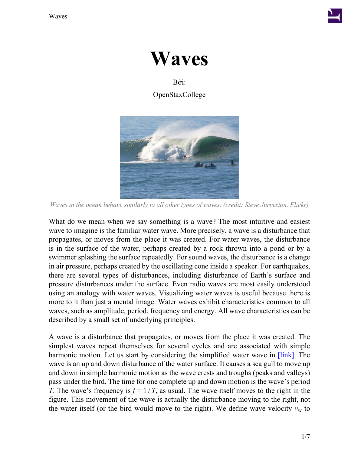



# Bởi: OpenStaxCollege



*Waves in the ocean behave similarly to all other types of waves. (credit: Steve Jurveston, Flickr)*

What do we mean when we say something is a wave? The most intuitive and easiest wave to imagine is the familiar water wave. More precisely, a wave is a disturbance that propagates, or moves from the place it was created. For water waves, the disturbance is in the surface of the water, perhaps created by a rock thrown into a pond or by a swimmer splashing the surface repeatedly. For sound waves, the disturbance is a change in air pressure, perhaps created by the oscillating cone inside a speaker. For earthquakes, there are several types of disturbances, including disturbance of Earth's surface and pressure disturbances under the surface. Even radio waves are most easily understood using an analogy with water waves. Visualizing water waves is useful because there is more to it than just a mental image. Water waves exhibit characteristics common to all waves, such as amplitude, period, frequency and energy. All wave characteristics can be described by a small set of underlying principles.

A wave is a disturbance that propagates, or moves from the place it was created. The simplest waves repeat themselves for several cycles and are associated with simple harmonic motion. Let us start by considering the simplified water wave in [\[link\]](#page-1-0)*.* The wave is an up and down disturbance of the water surface. It causes a sea gull to move up and down in simple harmonic motion as the wave crests and troughs (peaks and valleys) pass under the bird. The time for one complete up and down motion is the wave's period *T*. The wave's frequency is  $f = 1/T$ , as usual. The wave itself moves to the right in the figure. This movement of the wave is actually the disturbance moving to the right, not the water itself (or the bird would move to the right). We define wave velocity  $v_w$  to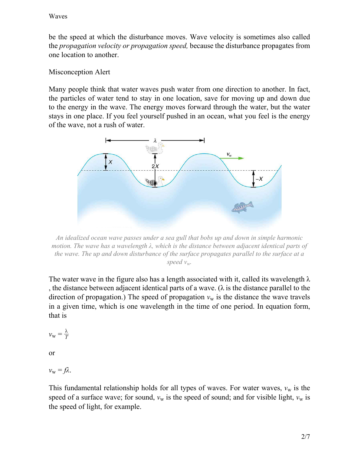be the speed at which the disturbance moves. Wave velocity is sometimes also called the *propagation velocity or propagation speed,* because the disturbance propagates from one location to another.

#### Misconception Alert

Many people think that water waves push water from one direction to another. In fact, the particles of water tend to stay in one location, save for moving up and down due to the energy in the wave. The energy moves forward through the water, but the water stays in one place. If you feel yourself pushed in an ocean, what you feel is the energy of the wave, not a rush of water.

<span id="page-1-0"></span>

*An idealized ocean wave passes under a sea gull that bobs up and down in simple harmonic motion. The wave has a wavelength λ, which is the distance between adjacent identical parts of the wave. The up and down disturbance of the surface propagates parallel to the surface at a speed*  $v_w$ .

The water wave in the figure also has a length associated with it, called its wavelength  $\lambda$ , the distance between adjacent identical parts of a wave. ( $\lambda$  is the distance parallel to the direction of propagation.) The speed of propagation  $v_w$  is the distance the wave travels in a given time, which is one wavelength in the time of one period. In equation form, that is

$$
v_{\rm w} = \frac{\lambda}{T}
$$

or

$$
v_{\rm w} = f\lambda.
$$

This fundamental relationship holds for all types of waves. For water waves,  $v_w$  is the speed of a surface wave; for sound,  $v_w$  is the speed of sound; and for visible light,  $v_w$  is the speed of light, for example.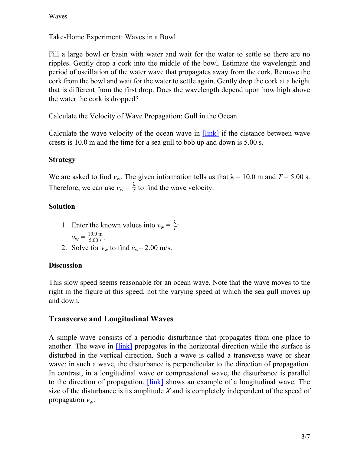Take-Home Experiment: Waves in a Bowl

Fill a large bowl or basin with water and wait for the water to settle so there are no ripples. Gently drop a cork into the middle of the bowl. Estimate the wavelength and period of oscillation of the water wave that propagates away from the cork. Remove the cork from the bowl and wait for the water to settle again. Gently drop the cork at a height that is different from the first drop. Does the wavelength depend upon how high above the water the cork is dropped?

Calculate the Velocity of Wave Propagation: Gull in the Ocean

Calculate the wave velocity of the ocean wave in **[\[link\]](#page-1-0)** if the distance between wave crests is 10.0 m and the time for a sea gull to bob up and down is 5.00 s.

#### **Strategy**

We are asked to find  $v_w$ . The given information tells us that  $\lambda = 10.0$  m and  $T = 5.00$  s. Therefore, we can use  $v_w = \frac{\lambda}{l}$  $\frac{\lambda}{T}$  to find the wave velocity.

### **Solution**

- 1. Enter the known values into  $v_w = \frac{\lambda}{l}$  $\frac{\lambda}{T}$ :  $v_{\rm w} = \frac{10.0 \text{ m}}{5.00 \text{ s}}.$
- 2. Solve for  $v_w$  to find  $v_w$ = 2.00 m/s.

#### **Discussion**

This slow speed seems reasonable for an ocean wave. Note that the wave moves to the right in the figure at this speed, not the varying speed at which the sea gull moves up and down.

### **Transverse and Longitudinal Waves**

A simple wave consists of a periodic disturbance that propagates from one place to another. The wave in *[\[link\]](#page-3-0)* propagates in the horizontal direction while the surface is disturbed in the vertical direction. Such a wave is called a transverse wave or shear wave; in such a wave, the disturbance is perpendicular to the direction of propagation. In contrast, in a longitudinal wave or compressional wave, the disturbance is parallel to the direction of propagation. [\[link\]](#page-3-1) shows an example of a longitudinal wave. The size of the disturbance is its amplitude *X* and is completely independent of the speed of propagation  $v_w$ .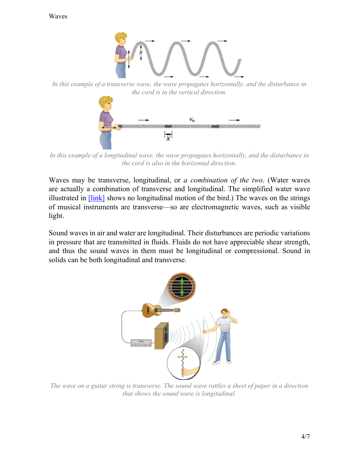<span id="page-3-0"></span>

*In this example of a transverse wave, the wave propagates horizontally, and the disturbance in the cord is in the vertical direction.*



<span id="page-3-1"></span>*In this example of a longitudinal wave, the wave propagates horizontally, and the disturbance in the cord is also in the horizontal direction.*

Waves may be transverse, longitudinal, or *a combination of the two*. (Water waves are actually a combination of transverse and longitudinal. The simplified water wave illustrated in  $[\text{link}]$  shows no longitudinal motion of the bird.) The waves on the strings of musical instruments are transverse—so are electromagnetic waves, such as visible light.

Sound waves in air and water are longitudinal. Their disturbances are periodic variations in pressure that are transmitted in fluids. Fluids do not have appreciable shear strength, and thus the sound waves in them must be longitudinal or compressional. Sound in solids can be both longitudinal and transverse.



*The wave on a guitar string is transverse. The sound wave rattles a sheet of paper in a direction that shows the sound wave is longitudinal.*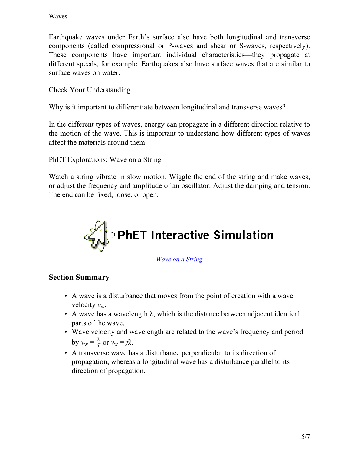Earthquake waves under Earth's surface also have both longitudinal and transverse components (called compressional or P-waves and shear or S-waves, respectively). These components have important individual characteristics—they propagate at different speeds, for example. Earthquakes also have surface waves that are similar to surface waves on water.

Check Your Understanding

Why is it important to differentiate between longitudinal and transverse waves?

In the different types of waves, energy can propagate in a different direction relative to the motion of the wave. This is important to understand how different types of waves affect the materials around them.

PhET Explorations: Wave on a String

Watch a string vibrate in slow motion. Wiggle the end of the string and make waves, or adjust the frequency and amplitude of an oscillator. Adjust the damping and tension. The end can be fixed, loose, or open.



*[Wave on a String](/home/voer/vp/vp.transformer/src/vpt.transformer/vpt/transformer/transforms/20140124-034339-6d33d22d-1/wave-on-a-string_en.jar)*

### **Section Summary**

- A wave is a disturbance that moves from the point of creation with a wave velocity  $v_w$ .
- $\bullet$  A wave has a wavelength  $\lambda$ , which is the distance between adjacent identical parts of the wave.
- Wave velocity and wavelength are related to the wave's frequency and period by  $v_w = \frac{\lambda}{l}$  $\frac{\lambda}{T}$  or  $v_w = f\lambda$ .
- A transverse wave has a disturbance perpendicular to its direction of propagation, whereas a longitudinal wave has a disturbance parallel to its direction of propagation.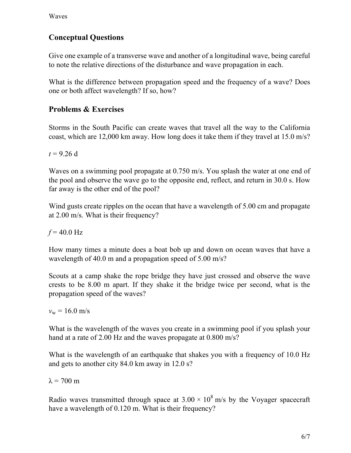## **Conceptual Questions**

Give one example of a transverse wave and another of a longitudinal wave, being careful to note the relative directions of the disturbance and wave propagation in each.

What is the difference between propagation speed and the frequency of a wave? Does one or both affect wavelength? If so, how?

### **Problems & Exercises**

Storms in the South Pacific can create waves that travel all the way to the California coast, which are 12,000 km away. How long does it take them if they travel at 15.0 m/s?

 $t = 9.26$  d

Waves on a swimming pool propagate at 0.750 m/s. You splash the water at one end of the pool and observe the wave go to the opposite end, reflect, and return in 30.0 s. How far away is the other end of the pool?

Wind gusts create ripples on the ocean that have a wavelength of 5.00 cm and propagate at 2.00 m/s. What is their frequency?

 $f = 40.0 \text{ Hz}$ 

How many times a minute does a boat bob up and down on ocean waves that have a wavelength of 40.0 m and a propagation speed of 5.00 m/s?

Scouts at a camp shake the rope bridge they have just crossed and observe the wave crests to be 8.00 m apart. If they shake it the bridge twice per second, what is the propagation speed of the waves?

 $v_w = 16.0$  m/s

What is the wavelength of the waves you create in a swimming pool if you splash your hand at a rate of 2.00 Hz and the waves propagate at 0.800 m/s?

What is the wavelength of an earthquake that shakes you with a frequency of 10.0 Hz and gets to another city 84.0 km away in 12.0 s?

 $λ = 700$  m

Radio waves transmitted through space at  $3.00 \times 10^8$  m/s by the Voyager spacecraft have a wavelength of 0.120 m. What is their frequency?